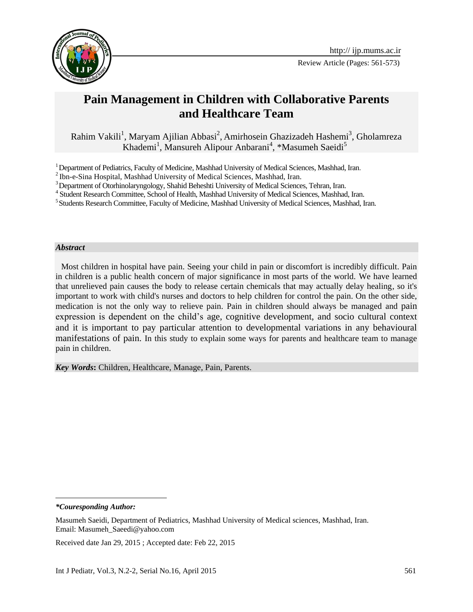

Review Article (Pages: 561-573)

# **Pain Management in Children with Collaborative Parents and Healthcare Team**

Rahim Vakili<sup>1</sup>, Maryam Ajilian Abbasi<sup>2</sup>, Amirhosein Ghazizadeh Hashemi<sup>3</sup>, Gholamreza Khademi<sup>1</sup>, Mansureh Alipour Anbarani<sup>4</sup>, \*Masumeh Saeidi<sup>5</sup>

#### *Abstract*

Most children in hospital have pain. Seeing your child in pain or discomfort is incredibly difficult. Pain in children is a public health concern of major significance in most parts of the world. We have learned that unrelieved pain causes the body to release certain chemicals that may actually delay healing, so it's important to work with child's nurses and doctors to help children for control the pain. On the other side, medication is not the only way to relieve pain. Pain in children should always be managed and pain expression is dependent on the child's age, cognitive development, and socio cultural context and it is important to pay particular attention to developmental variations in any behavioural manifestations of pain. In this study to explain some ways for parents and healthcare team to manage pain in children.

*Key Words***:** Children, Healthcare, Manage, Pain, Parents.

l

<sup>&</sup>lt;sup>1</sup> Department of Pediatrics, Faculty of Medicine, Mashhad University of Medical Sciences, Mashhad, Iran.

 $^{2}$  Ibn-e-Sina Hospital, Mashhad University of Medical Sciences, Mashhad, Iran.

<sup>&</sup>lt;sup>3</sup> Department of Otorhinolaryngology, Shahid Beheshti University of Medical Sciences, Tehran, Iran.

<sup>4</sup> Student Research Committee, School of Health, Mashhad University of Medical Sciences, Mashhad, Iran.

<sup>&</sup>lt;sup>5</sup> Students Research Committee, Faculty of Medicine, Mashhad University of Medical Sciences, Mashhad, Iran.

*<sup>\*</sup>Couresponding Author:*

Masumeh Saeidi, Department of Pediatrics, Mashhad University of Medical sciences, Mashhad, Iran. Email: Masumeh\_Saeedi@yahoo.com

Received date Jan 29, 2015 ; Accepted date: Feb 22, 2015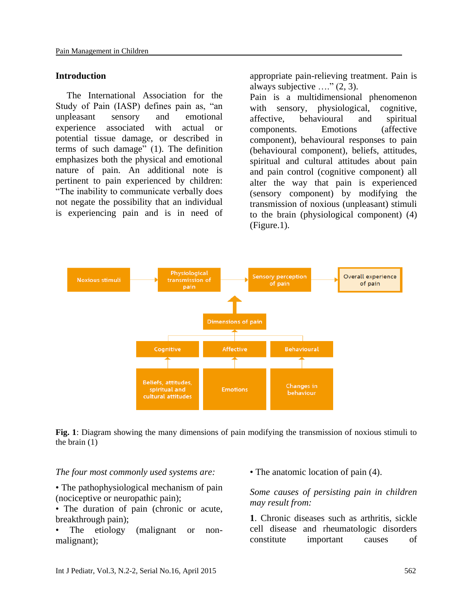#### **Introduction**

The International Association for the Study of Pain (IASP) defines pain as, "an unpleasant sensory and emotional experience associated with actual or potential tissue damage, or described in terms of such damage" (1). The definition emphasizes both the physical and emotional nature of pain. An additional note is pertinent to pain experienced by children: "The inability to communicate verbally does not negate the possibility that an individual is experiencing pain and is in need of

appropriate pain-relieving treatment. Pain is always subjective  $\ldots$ " (2, 3).

Pain is a multidimensional phenomenon with sensory, physiological, cognitive, affective, behavioural and spiritual components. Emotions (affective component), behavioural responses to pain (behavioural component), beliefs, attitudes, spiritual and cultural attitudes about pain and pain control (cognitive component) all alter the way that pain is experienced (sensory component) by modifying the transmission of noxious (unpleasant) stimuli to the brain (physiological component) (4) (Figure.1).



**Fig. 1**: Diagram showing the many dimensions of pain modifying the transmission of noxious stimuli to the brain (1)

#### *The four most commonly used systems are:*

• The pathophysiological mechanism of pain (nociceptive or neuropathic pain);

• The duration of pain (chronic or acute, breakthrough pain);

The etiology (malignant or nonmalignant);

• The anatomic location of pain (4).

*Some causes of persisting pain in children may result from:*

**1**. Chronic diseases such as arthritis, sickle cell disease and rheumatologic disorders constitute important causes of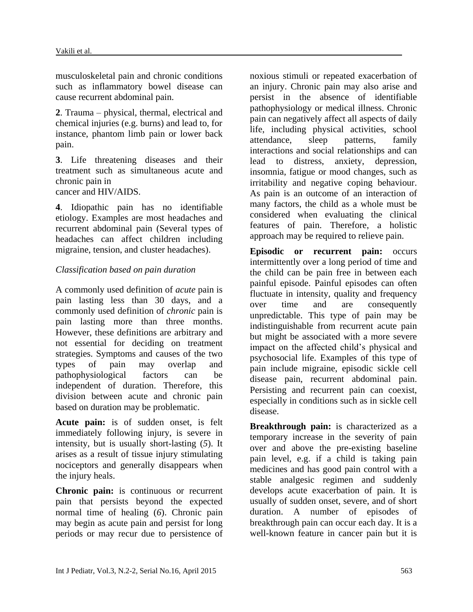musculoskeletal pain and chronic conditions such as inflammatory bowel disease can cause recurrent abdominal pain.

**2**. Trauma – physical, thermal, electrical and chemical injuries (e.g. burns) and lead to, for instance, phantom limb pain or lower back pain.

**3**. Life threatening diseases and their treatment such as simultaneous acute and chronic pain in cancer and HIV/AIDS.

**4**. Idiopathic pain has no identifiable etiology. Examples are most headaches and recurrent abdominal pain (Several types of headaches can affect children including migraine, tension, and cluster headaches).

# *Classification based on pain duration*

A commonly used definition of *acute* pain is pain lasting less than 30 days, and a commonly used definition of *chronic* pain is pain lasting more than three months. However, these definitions are arbitrary and not essential for deciding on treatment strategies. Symptoms and causes of the two types of pain may overlap and pathophysiological factors can be independent of duration. Therefore, this division between acute and chronic pain based on duration may be problematic.

**Acute pain:** is of sudden onset, is felt immediately following injury, is severe in intensity, but is usually short-lasting (*5*). It arises as a result of tissue injury stimulating nociceptors and generally disappears when the injury heals.

**Chronic pain:** is continuous or recurrent pain that persists beyond the expected normal time of healing (*6*). Chronic pain may begin as acute pain and persist for long periods or may recur due to persistence of

noxious stimuli or repeated exacerbation of an injury. Chronic pain may also arise and persist in the absence of identifiable pathophysiology or medical illness. Chronic pain can negatively affect all aspects of daily life, including physical activities, school attendance, sleep patterns, family interactions and social relationships and can lead to distress, anxiety, depression, insomnia, fatigue or mood changes, such as irritability and negative coping behaviour. As pain is an outcome of an interaction of many factors, the child as a whole must be considered when evaluating the clinical features of pain. Therefore, a holistic approach may be required to relieve pain.

**Episodic or recurrent pain:** occurs intermittently over a long period of time and the child can be pain free in between each painful episode. Painful episodes can often fluctuate in intensity, quality and frequency over time and are consequently unpredictable. This type of pain may be indistinguishable from recurrent acute pain but might be associated with a more severe impact on the affected child's physical and psychosocial life. Examples of this type of pain include migraine, episodic sickle cell disease pain, recurrent abdominal pain. Persisting and recurrent pain can coexist, especially in conditions such as in sickle cell disease.

**Breakthrough pain:** is characterized as a temporary increase in the severity of pain over and above the pre-existing baseline pain level, e.g. if a child is taking pain medicines and has good pain control with a stable analgesic regimen and suddenly develops acute exacerbation of pain. It is usually of sudden onset, severe, and of short duration. A number of episodes of breakthrough pain can occur each day. It is a well-known feature in cancer pain but it is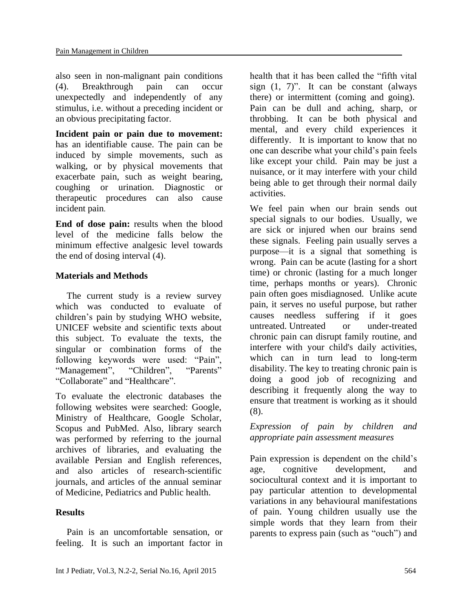also seen in non-malignant pain conditions (4). Breakthrough pain can occur unexpectedly and independently of any stimulus, i.e. without a preceding incident or an obvious precipitating factor.

**Incident pain or pain due to movement:** has an identifiable cause. The pain can be induced by simple movements, such as walking, or by physical movements that exacerbate pain, such as weight bearing, coughing or urination. Diagnostic or therapeutic procedures can also cause incident pain.

**End of dose pain:** results when the blood level of the medicine falls below the minimum effective analgesic level towards the end of dosing interval (4).

# **Materials and Methods**

The current study is a review survey which was conducted to evaluate of children's pain by studying WHO website, UNICEF website and scientific texts about this subject. To evaluate the texts, the singular or combination forms of the following keywords were used: "Pain", "Management", "Children", "Parents" "Collaborate" and "Healthcare".

To evaluate the electronic databases the following websites were searched: Google, Ministry of Healthcare, Google Scholar, Scopus and PubMed. Also, library search was performed by referring to the journal archives of libraries, and evaluating the available Persian and English references, and also articles of research-scientific journals, and articles of the annual seminar of Medicine, Pediatrics and Public health.

# **Results**

Pain is an uncomfortable sensation, or feeling. It is such an important factor in

health that it has been called the "fifth vital sign  $(1, 7)$ ". It can be constant (always) there) or intermittent (coming and going). Pain can be dull and aching, sharp, or throbbing. It can be both physical and mental, and every child experiences it differently. It is important to know that no one can describe what your child's pain feels like except your child. Pain may be just a nuisance, or it may interfere with your child being able to get through their normal daily activities.

We feel pain when our brain sends out special signals to our bodies. Usually, we are sick or injured when our brains send these signals. Feeling pain usually serves a purpose—it is a signal that something is wrong. Pain can be acute (lasting for a short time) or chronic (lasting for a much longer time, perhaps months or years). Chronic pain often goes misdiagnosed. Unlike acute pain, it serves no useful purpose, but rather causes needless suffering if it goes untreated. Untreated or under-treated chronic pain can disrupt family routine, and interfere with your child's daily activities, which can in turn lead to long-term disability. The key to treating chronic pain is doing a good job of recognizing and describing it frequently along the way to ensure that treatment is working as it should (8).

*Expression of pain by children and appropriate pain assessment measures*

Pain expression is dependent on the child's age, cognitive development, and sociocultural context and it is important to pay particular attention to developmental variations in any behavioural manifestations of pain. Young children usually use the simple words that they learn from their parents to express pain (such as "ouch") and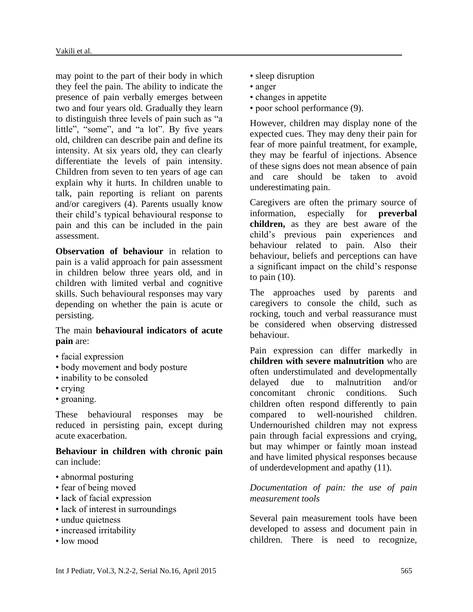may point to the part of their body in which they feel the pain. The ability to indicate the presence of pain verbally emerges between two and four years old. Gradually they learn to distinguish three levels of pain such as "a little", "some", and "a lot". By five years old, children can describe pain and define its intensity. At six years old, they can clearly differentiate the levels of pain intensity. Children from seven to ten years of age can explain why it hurts. In children unable to talk, pain reporting is reliant on parents and/or caregivers (4). Parents usually know their child's typical behavioural response to pain and this can be included in the pain assessment.

**Observation of behaviour** in relation to pain is a valid approach for pain assessment in children below three years old, and in children with limited verbal and cognitive skills. Such behavioural responses may vary depending on whether the pain is acute or persisting.

#### The main **behavioural indicators of acute pain** are:

- facial expression
- body movement and body posture
- inability to be consoled
- crying
- groaning.

These behavioural responses may be reduced in persisting pain, except during acute exacerbation.

**Behaviour in children with chronic pain**  can include:

- abnormal posturing
- fear of being moved
- lack of facial expression
- lack of interest in surroundings
- undue quietness
- increased irritability
- low mood
- sleep disruption
- anger
- changes in appetite
- poor school performance (9).

However, children may display none of the expected cues. They may deny their pain for fear of more painful treatment, for example, they may be fearful of injections. Absence of these signs does not mean absence of pain and care should be taken to avoid underestimating pain.

Caregivers are often the primary source of information, especially for **preverbal children,** as they are best aware of the child's previous pain experiences and behaviour related to pain. Also their behaviour, beliefs and perceptions can have a significant impact on the child's response to pain (10).

The approaches used by parents and caregivers to console the child, such as rocking, touch and verbal reassurance must be considered when observing distressed behaviour.

Pain expression can differ markedly in **children with severe malnutrition** who are often understimulated and developmentally delayed due to malnutrition and/or concomitant chronic conditions. Such children often respond differently to pain compared to well-nourished children. Undernourished children may not express pain through facial expressions and crying, but may whimper or faintly moan instead and have limited physical responses because of underdevelopment and apathy (11).

### *Documentation of pain: the use of pain measurement tools*

Several pain measurement tools have been developed to assess and document pain in children. There is need to recognize,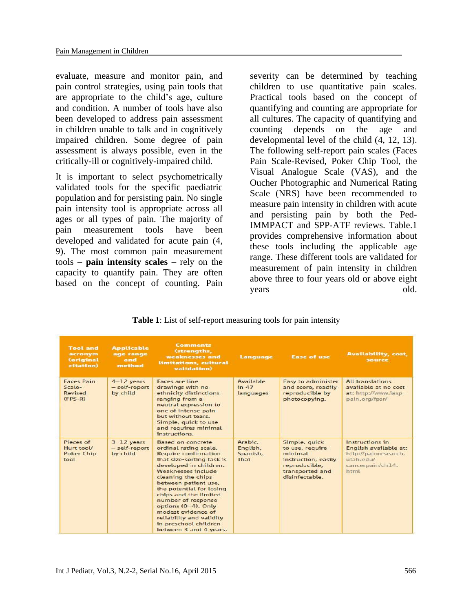evaluate, measure and monitor pain, and pain control strategies, using pain tools that are appropriate to the child's age, culture and condition. A number of tools have also been developed to address pain assessment in children unable to talk and in cognitively impaired children. Some degree of pain assessment is always possible, even in the critically-ill or cognitively-impaired child.

It is important to select psychometrically validated tools for the specific paediatric population and for persisting pain. No single pain intensity tool is appropriate across all ages or all types of pain. The majority of pain measurement tools have been developed and validated for acute pain (4, 9). The most common pain measurement tools – **pain intensity scales** – rely on the capacity to quantify pain. They are often based on the concept of counting. Pain

severity can be determined by teaching children to use quantitative pain scales. Practical tools based on the concept of quantifying and counting are appropriate for all cultures. The capacity of quantifying and counting depends on the age and developmental level of the child (4, 12, 13). The following self-report pain scales (Faces Pain Scale-Revised, Poker Chip Tool, the Visual Analogue Scale (VAS), and the Oucher Photographic and Numerical Rating Scale (NRS) have been recommended to measure pain intensity in children with acute and persisting pain by both the Ped-IMMPACT and SPP-ATF reviews. Table.1 provides comprehensive information about these tools including the applicable age range. These different tools are validated for measurement of pain intensity in children above three to four years old or above eight years old.

#### **Table 1**: List of self-report measuring tools for pain intensity

| <b>Tool</b> and<br>acronym<br><b>Coriginal</b><br>citation) | <b>Applicable</b><br>age range<br>and<br>method | <b>Comments</b><br>(strengths,<br>weaknesses and<br>limitations, cultural<br>validation)                                                                                                                                                                                                                                                                                                                           | Language                                | <b>Ease of use</b>                                                                                                       | <b>Availability, cost,</b><br>source                                                                      |
|-------------------------------------------------------------|-------------------------------------------------|--------------------------------------------------------------------------------------------------------------------------------------------------------------------------------------------------------------------------------------------------------------------------------------------------------------------------------------------------------------------------------------------------------------------|-----------------------------------------|--------------------------------------------------------------------------------------------------------------------------|-----------------------------------------------------------------------------------------------------------|
| <b>Faces Pain</b><br>Scale-<br>Revised<br>$(FPS-R)$         | $4-12$ years<br>- self-report<br>by child       | Faces are line<br>drawings with no<br>ethnicity distinctions<br>ranging from a<br>neutral expression to<br>one of intense pain<br>but without tears.<br>Simple, quick to use<br>and requires minimal<br>instructions.                                                                                                                                                                                              | Available<br>in $47$<br>languages       | Easy to administer<br>and score, readily<br>reproducible by<br>photocopying.                                             | <b>All translations</b><br>available at no cost<br>at: http://www.iasp-<br>pain.org/fpsr/                 |
| Pieces of<br>Hurt tool/<br><b>Poker Chip</b><br>tool        | $3-12$ years<br>- self-report<br>by child       | <b>Based on concrete</b><br>ordinal rating scale.<br><b>Require confirmation</b><br>that size-sorting task is<br>developed in children.<br>Weaknesses include<br>cleaning the chips<br>between patient use,<br>the potential for losing<br>chips and the limited<br>number of response<br>options (0-4). Only<br>modest evidence of<br>reliability and validity<br>in preschool children<br>between 3 and 4 years. | Arabic.<br>English,<br>Spanish,<br>Thai | Simple, quick<br>to use, require<br>minimal<br>instruction, easily<br>reproducible,<br>transported and<br>disinfectable. | Instructions in<br>English available at:<br>http://painresearch.<br>utah edu/<br>cancerpain/ch14.<br>html |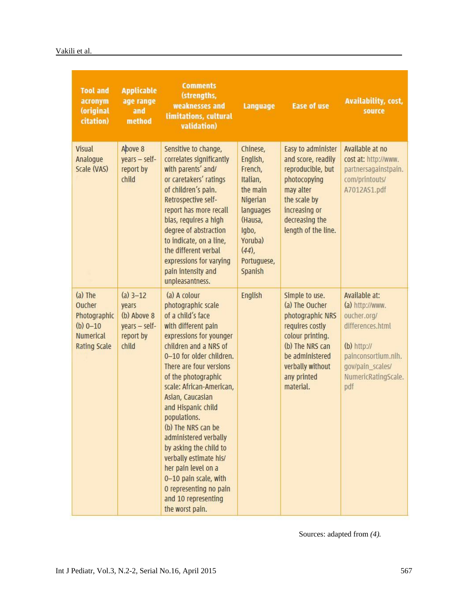| <b>Tool and</b><br>acronym<br>(original<br>citation)                                           | <b>Applicable</b><br>age range<br>and<br>method                           | <b>Comments</b><br>(strengths,<br>weaknesses and<br><b>Limitations, cultural</b><br>validation)                                                                                                                                                                                                                                                                                                                                                                                                                               | Language                                                                                                                                              | <b>Ease of use</b>                                                                                                                                                                | <b>Availability, cost,</b><br>source                                                                                                                          |
|------------------------------------------------------------------------------------------------|---------------------------------------------------------------------------|-------------------------------------------------------------------------------------------------------------------------------------------------------------------------------------------------------------------------------------------------------------------------------------------------------------------------------------------------------------------------------------------------------------------------------------------------------------------------------------------------------------------------------|-------------------------------------------------------------------------------------------------------------------------------------------------------|-----------------------------------------------------------------------------------------------------------------------------------------------------------------------------------|---------------------------------------------------------------------------------------------------------------------------------------------------------------|
| <b>Visual</b><br>Analogue<br>Scale (VAS)                                                       | Above 8<br>years - self-<br>report by<br>child                            | Sensitive to change,<br>correlates significantly<br>with parents' and/<br>or caretakers' ratings<br>of children's pain.<br>Retrospective self-<br>report has more recall<br>bias, requires a high<br>degree of abstraction<br>to indicate, on a line,<br>the different verbal<br>expressions for varying<br>pain intensity and<br>unpleasantness.                                                                                                                                                                             | Chinese,<br>English,<br>French,<br>Italian,<br>the main<br>Nigerian<br>languages<br>(Hausa,<br>Igbo,<br>Yoruba)<br>$(44)$ ,<br>Portuguese,<br>Spanish | Easy to administer<br>and score, readily<br>reproducible, but<br>photocopying<br>may alter<br>the scale by<br>increasing or<br>decreasing the<br>length of the line.              | Available at no<br>cost at: http://www.<br>partnersagainstpain.<br>com/printouts/<br>A7012AS1.pdf                                                             |
| $(a)$ The<br>Oucher<br>Photographic<br>$(b) 0 - 10$<br><b>Numerical</b><br><b>Rating Scale</b> | $(a)$ 3-12<br>years<br>(b) Above 8<br>years - self-<br>report by<br>child | (a) A colour<br>photographic scale<br>of a child's face<br>with different pain<br>expressions for younger<br>children and a NRS of<br>0-10 for older children.<br>There are four versions<br>of the photographic<br>scale: African-American,<br>Asian, Caucasian<br>and Hispanic child<br>populations.<br>(b) The NRS can be<br>administered verbally<br>by asking the child to<br>verbally estimate his/<br>her pain level on a<br>0-10 pain scale, with<br>O representing no pain<br>and 10 representing<br>the worst pain. | <b>English</b>                                                                                                                                        | Simple to use.<br>(a) The Oucher<br>photographic NRS<br>requires costly<br>colour printing.<br>(b) The NRS can<br>be administered<br>verbally without<br>any printed<br>material. | Available at:<br>(a) http://www.<br>oucher.org/<br>differences.html<br>$(b)$ http://<br>painconsortium.nih.<br>gov/pain_scales/<br>NumericRatingScale.<br>pdf |

Sources: adapted from *(4).*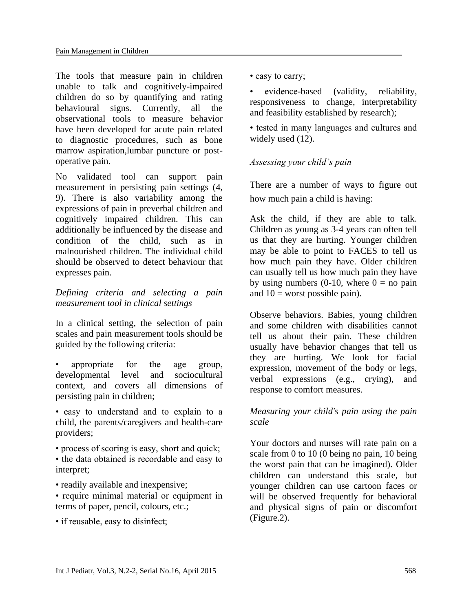The tools that measure pain in children unable to talk and cognitively-impaired children do so by quantifying and rating behavioural signs. Currently, all the observational tools to measure behavior have been developed for acute pain related to diagnostic procedures, such as bone marrow aspiration,lumbar puncture or postoperative pain.

No validated tool can support pain measurement in persisting pain settings (4, 9). There is also variability among the expressions of pain in preverbal children and cognitively impaired children. This can additionally be influenced by the disease and condition of the child, such as in malnourished children. The individual child should be observed to detect behaviour that expresses pain.

# *Defining criteria and selecting a pain measurement tool in clinical settings*

In a clinical setting, the selection of pain scales and pain measurement tools should be guided by the following criteria:

- appropriate for the age group, developmental level and sociocultural context, and covers all dimensions of persisting pain in children;
- easy to understand and to explain to a child, the parents/caregivers and health-care providers;
- process of scoring is easy, short and quick; • the data obtained is recordable and easy to interpret;
- readily available and inexpensive;
- require minimal material or equipment in terms of paper, pencil, colours, etc.;
- if reusable, easy to disinfect;

• easy to carry;

• evidence-based (validity, reliability, responsiveness to change, interpretability and feasibility established by research);

• tested in many languages and cultures and widely used  $(12)$ .

# *Assessing your child's pain*

There are a number of ways to figure out how much pain a child is having:

Ask the child, if they are able to talk. Children as young as 3-4 years can often tell us that they are hurting. Younger children may be able to point to FACES to tell us how much pain they have. Older children can usually tell us how much pain they have by using numbers (0-10, where  $0 =$  no pain and  $10 =$  worst possible pain).

Observe behaviors. Babies, young children and some children with disabilities cannot tell us about their pain. These children usually have behavior changes that tell us they are hurting. We look for facial expression, movement of the body or legs, verbal expressions (e.g., crying), and response to comfort measures.

# *Measuring your child's pain using the pain scale*

Your doctors and nurses will rate pain on a scale from 0 to 10 (0 being no pain, 10 being the worst pain that can be imagined). Older children can understand this scale, but younger children can use cartoon faces or will be observed frequently for behavioral and physical signs of pain or discomfort (Figure.2).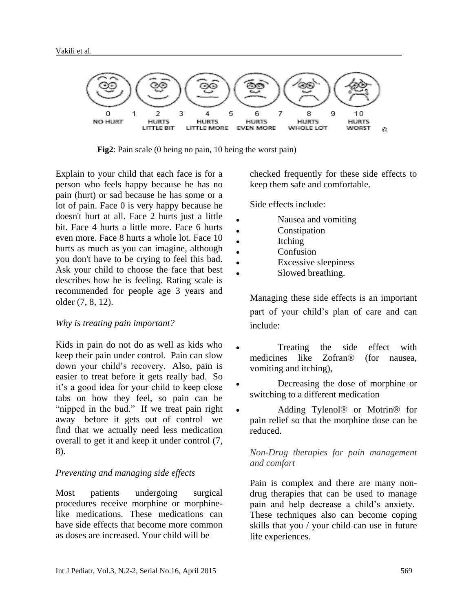

**Fig2**: Pain scale (0 being no pain, 10 being the worst pain)

Explain to your child that each face is for a person who feels happy because he has no pain (hurt) or sad because he has some or a lot of pain. Face 0 is very happy because he doesn't hurt at all. Face 2 hurts just a little bit. Face 4 hurts a little more. Face 6 hurts even more. Face 8 hurts a whole lot. Face 10 hurts as much as you can imagine, although you don't have to be crying to feel this bad. Ask your child to choose the face that best describes how he is feeling. Rating scale is recommended for people age 3 years and older (7, 8, 12).

#### *Why is treating pain important?*

Kids in pain do not do as well as kids who keep their pain under control. Pain can slow down your child's recovery. Also, pain is easier to treat before it gets really bad. So it's a good idea for your child to keep close tabs on how they feel, so pain can be "nipped in the bud." If we treat pain right away—before it gets out of control—we find that we actually need less medication overall to get it and keep it under control (7, 8).

#### *Preventing and managing side effects*

Most patients undergoing surgical procedures receive morphine or morphinelike medications. These medications can have side effects that become more common as doses are increased. Your child will be

checked frequently for these side effects to keep them safe and comfortable.

Side effects include:

- Nausea and vomiting
- Constipation
- Itching
- Confusion
- Excessive sleepiness
- Slowed breathing.

Managing these side effects is an important part of your child's plan of care and can include:

- Treating the side effect with medicines like Zofran® (for nausea, vomiting and itching),
- Decreasing the dose of morphine or switching to a different medication
- Adding Tylenol® or Motrin® for pain relief so that the morphine dose can be reduced.

### *Non-Drug therapies for pain management and comfort*

Pain is complex and there are many nondrug therapies that can be used to manage pain and help decrease a child's anxiety. These techniques also can become coping skills that you / your child can use in future life experiences.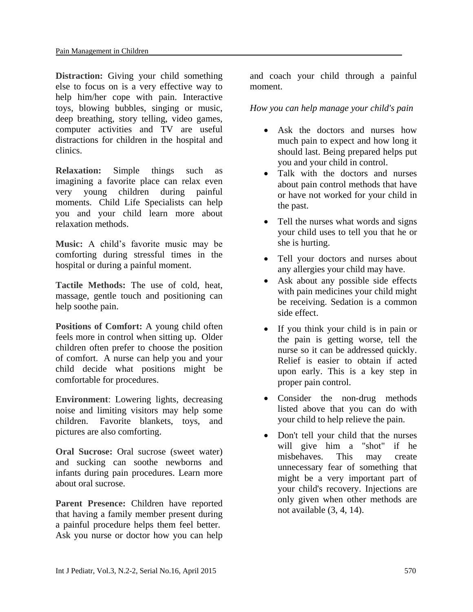**Distraction:** Giving your child something else to focus on is a very effective way to help him/her cope with pain. Interactive toys, blowing bubbles, singing or music, deep breathing, story telling, video games, computer activities and TV are useful distractions for children in the hospital and clinics.

**Relaxation:** Simple things such as imagining a favorite place can relax even very young children during painful moments. [Child Life Specialists](http://www.mottchildren.org/mott-support-services/cfl) can help you and your child learn more about relaxation methods.

**Music:** A child's favorite music may be comforting during stressful times in the hospital or during a painful moment.

**Tactile Methods:** The use of cold, heat, massage, gentle touch and positioning can help soothe pain.

**Positions of Comfort:** A young child often feels more in control when sitting up. Older children often prefer to choose the position of comfort. A nurse can help you and your child decide what positions might be comfortable for procedures.

**Environment**: Lowering lights, decreasing noise and limiting visitors may help some children. Favorite blankets, toys, and pictures are also comforting.

**Oral Sucrose: Oral sucrose (sweet water)** and sucking can soothe newborns and infants during pain procedures. [Learn more](http://www.med.umich.edu/1libr/PedPainGroup/OralSucrose.pdf)  [about oral sucrose.](http://www.med.umich.edu/1libr/PedPainGroup/OralSucrose.pdf)

**Parent Presence:** Children have reported that having a family member present during a painful procedure helps them feel better. Ask you nurse or doctor how you can help

and coach your child through a painful moment.

*How you can help manage your child's pain*

- Ask the doctors and nurses how much pain to expect and how long it should last. Being prepared helps put you and your child in control.
- Talk with the doctors and nurses about pain control methods that have or have not worked for your child in the past.
- Tell the nurses what words and signs your child uses to tell you that he or she is hurting.
- Tell your doctors and nurses about any allergies your child may have.
- Ask about any possible side effects with pain medicines your child might be receiving. Sedation is a common side effect.
- If you think your child is in pain or the pain is getting worse, tell the nurse so it can be addressed quickly. Relief is easier to obtain if acted upon early. This is a key step in proper pain control.
- Consider the non-drug methods listed above that you can do with your child to help relieve the pain.
- Don't tell your child that the nurses will give him a "shot" if he misbehaves. This may create unnecessary fear of something that might be a very important part of your child's recovery. Injections are only given when other methods are not available (3, 4, 14).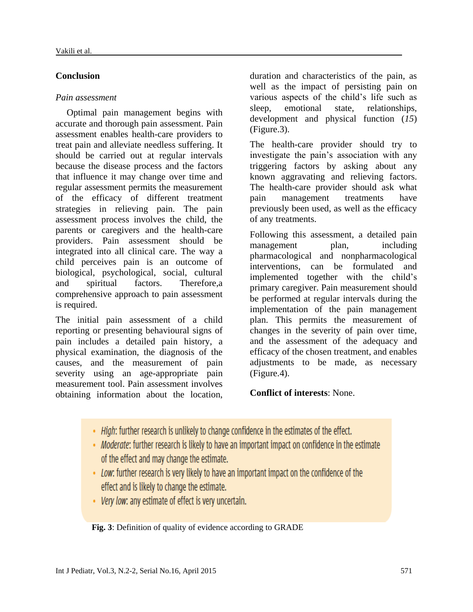# **Conclusion**

# *Pain assessment*

Optimal pain management begins with accurate and thorough pain assessment. Pain assessment enables health-care providers to treat pain and alleviate needless suffering. It should be carried out at regular intervals because the disease process and the factors that influence it may change over time and regular assessment permits the measurement of the efficacy of different treatment strategies in relieving pain. The pain assessment process involves the child, the parents or caregivers and the health-care providers. Pain assessment should be integrated into all clinical care. The way a child perceives pain is an outcome of biological, psychological, social, cultural and spiritual factors. Therefore,a comprehensive approach to pain assessment is required.

The initial pain assessment of a child reporting or presenting behavioural signs of pain includes a detailed pain history, a physical examination, the diagnosis of the causes, and the measurement of pain severity using an age-appropriate pain measurement tool. Pain assessment involves obtaining information about the location,

duration and characteristics of the pain, as well as the impact of persisting pain on various aspects of the child's life such as sleep, emotional state, relationships, development and physical function (*15*) (Figure.3).

The health-care provider should try to investigate the pain's association with any triggering factors by asking about any known aggravating and relieving factors. The health-care provider should ask what pain management treatments have previously been used, as well as the efficacy of any treatments.

Following this assessment, a detailed pain management plan, including pharmacological and nonpharmacological interventions, can be formulated and implemented together with the child's primary caregiver. Pain measurement should be performed at regular intervals during the implementation of the pain management plan. This permits the measurement of changes in the severity of pain over time, and the assessment of the adequacy and efficacy of the chosen treatment, and enables adjustments to be made, as necessary (Figure.4).

# **Conflict of interests**: None.

- . High: further research is unlikely to change confidence in the estimates of the effect.
- Moderate: further research is likely to have an important impact on confidence in the estimate of the effect and may change the estimate.
- Low: further research is very likely to have an important impact on the confidence of the effect and is likely to change the estimate.
- Very low: any estimate of effect is very uncertain.

 **Fig. 3**: Definition of quality of evidence according to GRADE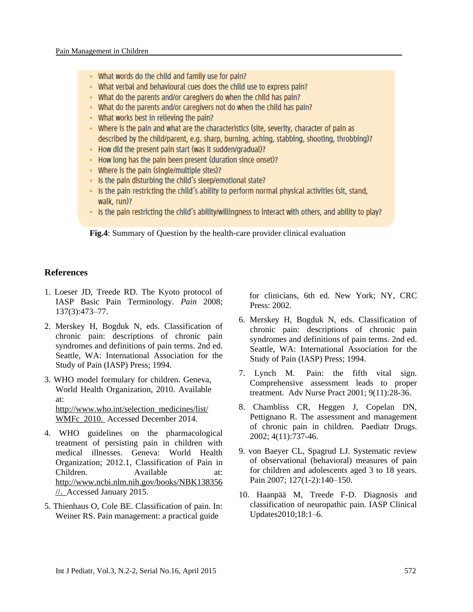- What words do the child and family use for pain?
- . What verbal and behavioural cues does the child use to express pain?
- What do the parents and/or caregivers do when the child has pain?
- What do the parents and/or caregivers not do when the child has pain?
- What works best in relieving the pain?
- Where is the pain and what are the characteristics (site, severity, character of pain as described by the child/parent, e.g. sharp, burning, aching, stabbing, shooting, throbbing)?
- . How did the present pain start (was it sudden/gradual)?
- How long has the pain been present (duration since onset)?
- Where is the pain (single/multiple sites)?
- . Is the pain disturbing the child's sleep/emotional state?
- . Is the pain restricting the child's ability to perform normal physical activities (sit, stand, walk, run)?
- Is the pain restricting the child's ability/willingness to interact with others, and ability to play?

 **Fig.4**: Summary of Question by the health-care provider clinical evaluation

#### **References**

- 1. Loeser JD, Treede RD. The Kyoto protocol of IASP Basic Pain Terminology. *Pain* 2008; 137(3):473–77.
- 2. Merskey H, Bogduk N, eds. Classification of chronic pain: descriptions of chronic pain syndromes and definitions of pain terms. 2nd ed. Seattle, WA: International Association for the Study of Pain (IASP) Press; 1994.
- 3. WHO model formulary for children. Geneva, World Health Organization, 2010. Available at:

[http://www.who.int/selection\\_medicines/list/](http://www.who.int/selection_medicines/list/WMFc_2010.) [WMFc\\_2010.](http://www.who.int/selection_medicines/list/WMFc_2010.) Accessed December 2014.

- 4. WHO guidelines on the pharmacological treatment of persisting pain in children with medical illnesses. Geneva: World Health Organization; 2012.1, Classification of Pain in Children. Available at: [http://www.ncbi.nlm.nih.gov/books/NBK138356](http://www.ncbi.nlm.nih.gov/books/NBK138356/) [//.](http://www.ncbi.nlm.nih.gov/books/NBK138356/) Accessed January 2015.
- 5. Thienhaus O, Cole BE. Classification of pain. In: Weiner RS. Pain management: a practical guide

 for clinicians, 6th ed. New York; NY, CRC Press: 2002.

- 6. Merskey H, Bogduk N, eds. Classification of chronic pain: descriptions of chronic pain syndromes and definitions of pain terms. 2nd ed. Seattle, WA: International Association for the Study of Pain (IASP) Press; 1994.
- 7. Lynch M. Pain: the fifth vital sign. Comprehensive assessment leads to proper treatment. Adv Nurse Pract 2001; 9(11):28-36.
- 8. Chambliss CR, Heggen J, Copelan DN, Pettignano R. The assessment and management of chronic pain in children. Paediatr Drugs. 2002; 4(11):737-46.
- 9. von Baeyer CL, Spagrud LJ. Systematic review of observational (behavioral) measures of pain for children and adolescents aged 3 to 18 years. Pain 2007; 127(1-2):140–150.
- 10. Haanpää M, Treede F-D. Diagnosis and classification of neuropathic pain. IASP Clinical Updates2010;18:1–6.